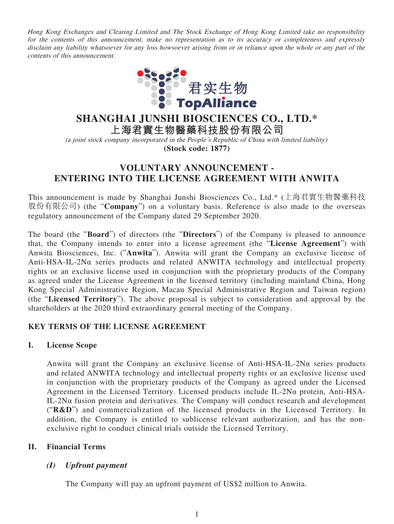Hong Kong Exchanges and Clearing Limited and The Stock Exchange of Hong Kong Limited take no responsibility for the contents of this announcement, make no representation as to its accuracy or completeness and expressly disclaim any liability whatsoever for any loss howsoever arising from or in reliance upon the whole or any part of the contents of this announcement.



# **SHANGHAI JUNSHI BIOSCIENCES CO., LTD.\***

**上海君實生物醫藥科技股份有限公司**

(a joint stock company incorporated in the People's Republic of China with limited liability) **(Stock code: 1877)**

# **VOLUNTARY ANNOUNCEMENT - ENTERING INTO THE LICENSE AGREEMENT WITH ANWITA**

This announcement is made by Shanghai Junshi Biosciences Co., Ltd.\* (上海君實生物醫藥科技 股份有限公司) (the "**Company**") on a voluntary basis. Reference is also made to the overseas regulatory announcement of the Company dated 29 September 2020.

The board (the "**Board**") of directors (the "**Directors**") of the Company is pleased to announce that, the Company intends to enter into a license agreement (the "**License Agreement**") with Anwita Biosciences, Inc. ("**Anwita**"). Anwita will grant the Company an exclusive license of Anti-HSA-IL-2Nα series products and related ANWITA technology and intellectual property rights or an exclusive license used in conjunction with the proprietary products of the Company as agreed under the License Agreement in the licensed territory (including mainland China, Hong Kong Special Administrative Region, Macau Special Administrative Region and Taiwan region) (the "**Licensed Territory**"). The above proposal is subject to consideration and approval by the shareholders at the 2020 third extraordinary general meeting of the Company.

# **KEY TERMS OF THE LICENSE AGREEMENT**

# **I. License Scope**

Anwita will grant the Company an exclusive license of Anti-HSA-IL-2Nα series products and related ANWITA technology and intellectual property rights or an exclusive license used in conjunction with the proprietary products of the Company as agreed under the Licensed Agreement in the Licensed Territory. Licensed products include IL-2Nα protein, Anti-HSA-IL-2Nα fusion protein and derivatives. The Company will conduct research and development ("**R&D**") and commercialization of the licensed products in the Licensed Territory. In addition, the Company is entitled to sublicense relevant authorization, and has the nonexclusive right to conduct clinical trials outside the Licensed Territory.

# **II. Financial Terms**

# **(I) Upfront payment**

The Company will pay an upfront payment of US\$2 million to Anwita.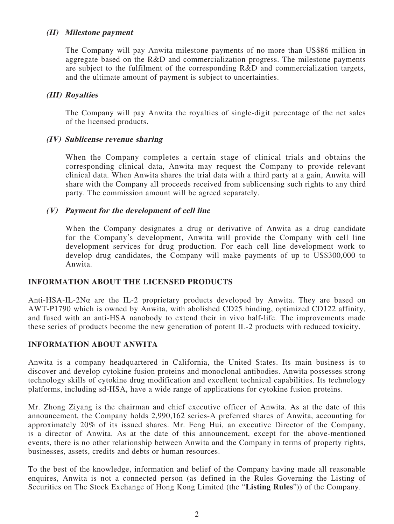#### **(II) Milestone payment**

The Company will pay Anwita milestone payments of no more than US\$86 million in aggregate based on the R&D and commercialization progress. The milestone payments are subject to the fulfilment of the corresponding R&D and commercialization targets, and the ultimate amount of payment is subject to uncertainties.

#### **(III) Royalties**

The Company will pay Anwita the royalties of single-digit percentage of the net sales of the licensed products.

#### **(IV) Sublicense revenue sharing**

When the Company completes a certain stage of clinical trials and obtains the corresponding clinical data, Anwita may request the Company to provide relevant clinical data. When Anwita shares the trial data with a third party at a gain, Anwita will share with the Company all proceeds received from sublicensing such rights to any third party. The commission amount will be agreed separately.

#### **(V) Payment for the development of cell line**

When the Company designates a drug or derivative of Anwita as a drug candidate for the Company's development, Anwita will provide the Company with cell line development services for drug production. For each cell line development work to develop drug candidates, the Company will make payments of up to US\$300,000 to Anwita.

# **INFORMATION ABOUT THE LICENSED PRODUCTS**

Anti-HSA-IL-2Nα are the IL-2 proprietary products developed by Anwita. They are based on AWT-P1790 which is owned by Anwita, with abolished CD25 binding, optimized CD122 affinity, and fused with an anti-HSA nanobody to extend their in vivo half-life. The improvements made these series of products become the new generation of potent IL-2 products with reduced toxicity.

# **INFORMATION ABOUT ANWITA**

Anwita is a company headquartered in California, the United States. Its main business is to discover and develop cytokine fusion proteins and monoclonal antibodies. Anwita possesses strong technology skills of cytokine drug modification and excellent technical capabilities. Its technology platforms, including sd-HSA, have a wide range of applications for cytokine fusion proteins.

Mr. Zhong Ziyang is the chairman and chief executive officer of Anwita. As at the date of this announcement, the Company holds 2,990,162 series-A preferred shares of Anwita, accounting for approximately 20% of its issued shares. Mr. Feng Hui, an executive Director of the Company, is a director of Anwita. As at the date of this announcement, except for the above-mentioned events, there is no other relationship between Anwita and the Company in terms of property rights, businesses, assets, credits and debts or human resources.

To the best of the knowledge, information and belief of the Company having made all reasonable enquires, Anwita is not a connected person (as defined in the Rules Governing the Listing of Securities on The Stock Exchange of Hong Kong Limited (the "**Listing Rules**")) of the Company.